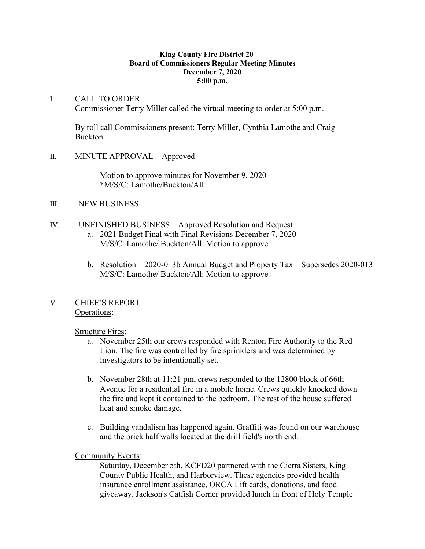#### **King County Fire District 20 Board of Commissioners Regular Meeting Minutes December 7, 2020 5:00 p.m.**

### I. CALL TO ORDER Commissioner Terry Miller called the virtual meeting to order at 5:00 p.m.

By roll call Commissioners present: Terry Miller, Cynthia Lamothe and Craig Buckton

II. MINUTE APPROVAL – Approved

Motion to approve minutes for November 9, 2020 \*M/S/C: Lamothe/Buckton/All:

# III. NEW BUSINESS

- IV. UNFINISHED BUSINESS Approved Resolution and Request
	- a. 2021 Budget Final with Final Revisions December 7, 2020 M/S/C: Lamothe/ Buckton/All: Motion to approve
	- b. Resolution 2020-013b Annual Budget and Property Tax Supersedes 2020-013 M/S/C: Lamothe/ Buckton/All: Motion to approve

# V. CHIEF'S REPORT Operations:

# **Structure Fires:**

- a. November 25th our crews responded with Renton Fire Authority to the Red Lion. The fire was controlled by fire sprinklers and was determined by investigators to be intentionally set.
- b. November 28th at 11:21 pm, crews responded to the 12800 block of 66th Avenue for a residential fire in a mobile home. Crews quickly knocked down the fire and kept it contained to the bedroom. The rest of the house suffered heat and smoke damage.
- c. Building vandalism has happened again. Graffiti was found on our warehouse and the brick half walls located at the drill field's north end.

#### Community Events:

Saturday, December 5th, KCFD20 partnered with the Cierra Sisters, King County Public Health, and Harborview. These agencies provided health insurance enrollment assistance, ORCA Lift cards, donations, and food giveaway. Jackson's Catfish Corner provided lunch in front of Holy Temple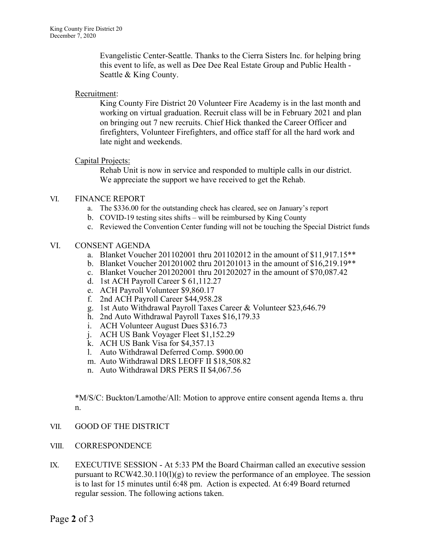Evangelistic Center-Seattle. Thanks to the Cierra Sisters Inc. for helping bring this event to life, as well as Dee Dee Real Estate Group and Public Health - Seattle & King County.

### Recruitment:

King County Fire District 20 Volunteer Fire Academy is in the last month and working on virtual graduation. Recruit class will be in February 2021 and plan on bringing out 7 new recruits. Chief Hick thanked the Career Officer and firefighters, Volunteer Firefighters, and office staff for all the hard work and late night and weekends.

# Capital Projects:

Rehab Unit is now in service and responded to multiple calls in our district. We appreciate the support we have received to get the Rehab.

# VI. FINANCE REPORT

- a. The \$336.00 for the outstanding check has cleared, see on January's report
- b. COVID-19 testing sites shifts will be reimbursed by King County
- c. Reviewed the Convention Center funding will not be touching the Special District funds

#### VI. CONSENT AGENDA

- a. Blanket Voucher 201102001 thru 201102012 in the amount of \$11,917.15\*\*
- b. Blanket Voucher 201201002 thru 201201013 in the amount of \$16,219.19\*\*
- c. Blanket Voucher 201202001 thru 201202027 in the amount of \$70,087.42
- d. 1st ACH Payroll Career \$ 61,112.27
- e. ACH Payroll Volunteer \$9,860.17
- f. 2nd ACH Payroll Career \$44,958.28
- g. 1st Auto Withdrawal Payroll Taxes Career & Volunteer \$23,646.79
- h. 2nd Auto Withdrawal Payroll Taxes \$16,179.33
- i. ACH Volunteer August Dues \$316.73
- j. ACH US Bank Voyager Fleet \$1,152.29
- k. ACH US Bank Visa for \$4,357.13
- l. Auto Withdrawal Deferred Comp. \$900.00
- m. Auto Withdrawal DRS LEOFF II \$18,508.82
- n. Auto Withdrawal DRS PERS II \$4,067.56

\*M/S/C: Buckton/Lamothe/All: Motion to approve entire consent agenda Items a. thru n.

# VII. GOOD OF THE DISTRICT

- VIII. CORRESPONDENCE
- IX. EXECUTIVE SESSION At 5:33 PM the Board Chairman called an executive session pursuant to RCW42.30.110(1)(g) to review the performance of an employee. The session is to last for 15 minutes until 6:48 pm. Action is expected. At 6:49 Board returned regular session. The following actions taken.